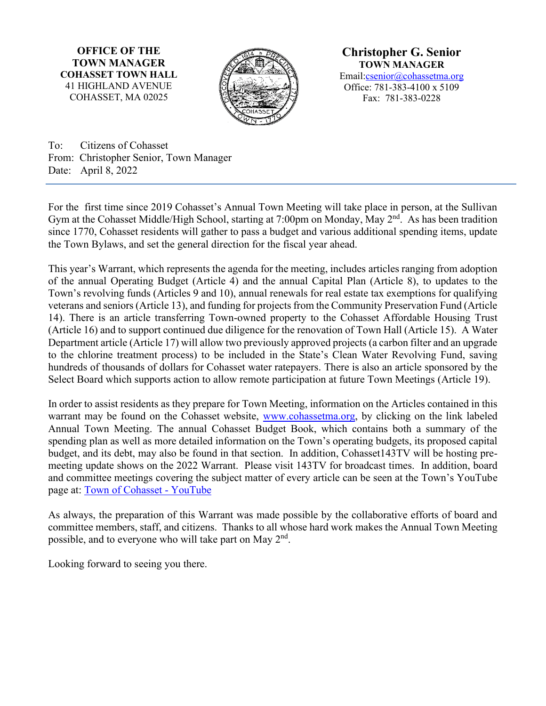**OFFICE OF THE TOWN MANAGER COHASSET TOWN HALL** 41 HIGHLAND AVENUE COHASSET, MA 02025



**Christopher G. Senior TOWN MANAGER** Email[:csenior@cohassetma.org](mailto:csenior@cohassetma.org) Office: 781-383-4100 x 5109 Fax: 781-383-0228

To: Citizens of Cohasset From: Christopher Senior, Town Manager Date: April 8, 2022

For the first time since 2019 Cohasset's Annual Town Meeting will take place in person, at the Sullivan Gym at the Cohasset Middle/High School, starting at 7:00pm on Monday, May 2<sup>nd</sup>. As has been tradition since 1770, Cohasset residents will gather to pass a budget and various additional spending items, update the Town Bylaws, and set the general direction for the fiscal year ahead.

This year's Warrant, which represents the agenda for the meeting, includes articles ranging from adoption of the annual Operating Budget (Article 4) and the annual Capital Plan (Article 8), to updates to the Town's revolving funds (Articles 9 and 10), annual renewals for real estate tax exemptions for qualifying veterans and seniors (Article 13), and funding for projects from the Community Preservation Fund (Article 14). There is an article transferring Town-owned property to the Cohasset Affordable Housing Trust (Article 16) and to support continued due diligence for the renovation of Town Hall (Article 15). A Water Department article (Article 17) will allow two previously approved projects (a carbon filter and an upgrade to the chlorine treatment process) to be included in the State's Clean Water Revolving Fund, saving hundreds of thousands of dollars for Cohasset water ratepayers. There is also an article sponsored by the Select Board which supports action to allow remote participation at future Town Meetings (Article 19).

In order to assist residents as they prepare for Town Meeting, information on the Articles contained in this warrant may be found on the Cohasset website, [www.cohassetma.org,](http://www.cohassetma.org/) by clicking on the link labeled Annual Town Meeting. The annual Cohasset Budget Book, which contains both a summary of the spending plan as well as more detailed information on the Town's operating budgets, its proposed capital budget, and its debt, may also be found in that section. In addition, Cohasset143TV will be hosting premeeting update shows on the 2022 Warrant. Please visit 143TV for broadcast times. In addition, board and committee meetings covering the subject matter of every article can be seen at the Town's YouTube page at: [Town of Cohasset -](https://www.youtube.com/user/TownofCohasset/playlists) YouTube

As always, the preparation of this Warrant was made possible by the collaborative efforts of board and committee members, staff, and citizens. Thanks to all whose hard work makes the Annual Town Meeting possible, and to everyone who will take part on May 2<sup>nd</sup>.

Looking forward to seeing you there.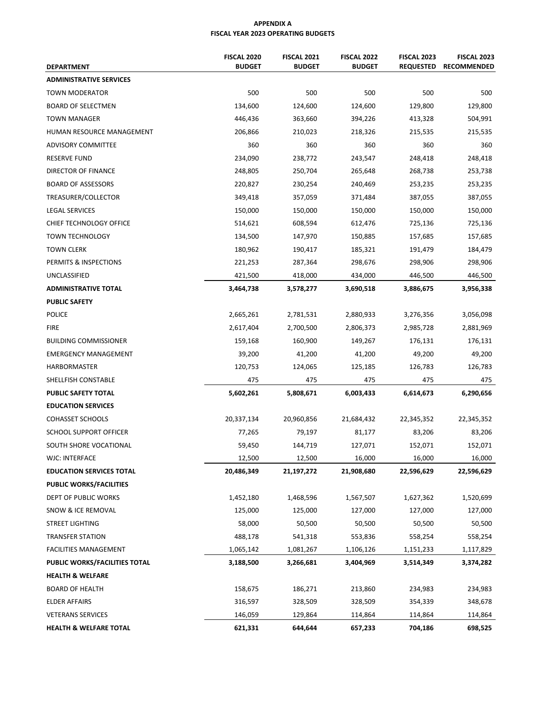### **APPENDIX A FISCAL YEAR 2023 OPERATING BUDGETS**

| <b>DEPARTMENT</b>               | <b>FISCAL 2020</b><br><b>BUDGET</b> | <b>FISCAL 2022</b><br><b>BUDGET</b> | <b>FISCAL 2023</b><br><b>REQUESTED</b> | <b>FISCAL 2023</b><br><b>RECOMMENDED</b> |            |  |  |  |
|---------------------------------|-------------------------------------|-------------------------------------|----------------------------------------|------------------------------------------|------------|--|--|--|
| <b>ADMINISTRATIVE SERVICES</b>  |                                     |                                     |                                        |                                          |            |  |  |  |
| <b>TOWN MODERATOR</b>           | 500                                 | 500                                 | 500                                    | 500                                      | 500        |  |  |  |
| <b>BOARD OF SELECTMEN</b>       | 134,600                             | 124,600                             | 124,600                                | 129,800                                  | 129,800    |  |  |  |
| <b>TOWN MANAGER</b>             | 446,436                             | 363,660                             | 394,226                                | 413,328                                  | 504,991    |  |  |  |
| HUMAN RESOURCE MANAGEMENT       | 206,866                             | 210,023                             | 218,326                                | 215,535                                  | 215,535    |  |  |  |
| <b>ADVISORY COMMITTEE</b>       | 360                                 | 360                                 | 360                                    | 360                                      | 360        |  |  |  |
| <b>RESERVE FUND</b>             | 234,090                             | 238,772                             | 243,547                                | 248,418                                  | 248,418    |  |  |  |
| DIRECTOR OF FINANCE             | 248,805                             | 250,704                             | 265,648                                | 268,738                                  | 253,738    |  |  |  |
| <b>BOARD OF ASSESSORS</b>       | 220,827                             | 230,254                             |                                        | 253,235                                  | 253,235    |  |  |  |
| TREASURER/COLLECTOR             | 349,418                             | 357,059                             | 371,484                                | 387,055                                  | 387,055    |  |  |  |
| LEGAL SERVICES                  | 150,000                             | 150,000                             | 150,000                                | 150,000<br>150,000                       |            |  |  |  |
| CHIEF TECHNOLOGY OFFICE         | 514,621                             | 608,594<br>612,476                  |                                        |                                          |            |  |  |  |
| <b>TOWN TECHNOLOGY</b>          | 134,500                             | 147,970                             | 150,885                                | 157,685                                  | 157,685    |  |  |  |
| <b>TOWN CLERK</b>               | 180,962                             | 190,417                             | 185,321                                | 191,479                                  | 184,479    |  |  |  |
| PERMITS & INSPECTIONS           | 221,253                             | 287,364                             | 298,676                                | 298,906                                  | 298,906    |  |  |  |
| UNCLASSIFIED                    | 421,500                             | 418,000                             | 434,000                                | 446,500                                  | 446,500    |  |  |  |
| <b>ADMINISTRATIVE TOTAL</b>     | 3,464,738                           | 3,578,277                           | 3,690,518                              | 3,886,675                                | 3,956,338  |  |  |  |
| <b>PUBLIC SAFETY</b>            |                                     |                                     |                                        |                                          |            |  |  |  |
| <b>POLICE</b>                   | 2,665,261                           | 2,781,531                           | 2,880,933                              | 3,276,356                                | 3,056,098  |  |  |  |
| <b>FIRE</b>                     | 2,617,404                           | 2,700,500                           | 2,806,373                              | 2,985,728                                | 2,881,969  |  |  |  |
| <b>BUILDING COMMISSIONER</b>    | 159,168                             | 160,900                             | 149,267                                | 176,131                                  | 176,131    |  |  |  |
| <b>EMERGENCY MANAGEMENT</b>     | 39,200                              | 41,200                              | 41,200                                 | 49,200                                   | 49,200     |  |  |  |
| <b>HARBORMASTER</b>             | 120,753                             | 124,065                             | 125,185                                | 126,783                                  | 126,783    |  |  |  |
| SHELLFISH CONSTABLE             | 475                                 | 475                                 |                                        | 475                                      | 475        |  |  |  |
| PUBLIC SAFETY TOTAL             | 5,602,261                           | 5,808,671                           | 6,003,433                              | 6,614,673                                | 6,290,656  |  |  |  |
| <b>EDUCATION SERVICES</b>       |                                     |                                     |                                        |                                          |            |  |  |  |
| <b>COHASSET SCHOOLS</b>         | 20,337,134                          | 20,960,856<br>21,684,432            |                                        | 22,345,352                               | 22,345,352 |  |  |  |
| SCHOOL SUPPORT OFFICER          | 77,265                              | 79,197                              | 81,177                                 | 83,206                                   | 83,206     |  |  |  |
| SOUTH SHORE VOCATIONAL          | 59,450                              | 144,719                             | 127,071<br>152,071                     |                                          | 152,071    |  |  |  |
| <b>WJC: INTERFACE</b>           | 12,500                              | 12,500                              | 16,000                                 |                                          |            |  |  |  |
| <b>EDUCATION SERVICES TOTAL</b> | 20,486,349                          | 21,197,272<br>21,908,680            |                                        | 22,596,629                               | 22,596,629 |  |  |  |
| <b>PUBLIC WORKS/FACILITIES</b>  |                                     |                                     |                                        |                                          |            |  |  |  |
| DEPT OF PUBLIC WORKS            | 1,452,180                           | 1,468,596                           | 1,567,507                              | 1,627,362                                | 1,520,699  |  |  |  |
| SNOW & ICE REMOVAL              | 125,000                             | 125,000                             | 127,000                                | 127,000                                  | 127,000    |  |  |  |
| <b>STREET LIGHTING</b>          | 58,000                              | 50,500                              | 50,500                                 | 50,500                                   | 50,500     |  |  |  |
| <b>TRANSFER STATION</b>         | 488,178                             | 541,318                             | 553,836                                | 558,254                                  | 558,254    |  |  |  |
| <b>FACILITIES MANAGEMENT</b>    | 1,065,142                           | 1,081,267                           | 1,106,126                              | 1,151,233                                | 1,117,829  |  |  |  |
| PUBLIC WORKS/FACILITIES TOTAL   | 3,188,500                           | 3,266,681                           | 3,404,969                              | 3,514,349                                | 3,374,282  |  |  |  |
| <b>HEALTH &amp; WELFARE</b>     |                                     |                                     |                                        |                                          |            |  |  |  |
| <b>BOARD OF HEALTH</b>          | 158,675                             | 186,271                             | 213,860                                | 234,983                                  | 234,983    |  |  |  |
| <b>ELDER AFFAIRS</b>            | 316,597                             | 328,509                             | 328,509                                | 354,339                                  | 348,678    |  |  |  |
| <b>VETERANS SERVICES</b>        | 146,059                             | 129,864                             | 114,864                                | 114,864                                  | 114,864    |  |  |  |
| HEALTH & WELFARE TOTAL          | 621,331                             | 644,644                             | 657,233                                | 704,186                                  | 698,525    |  |  |  |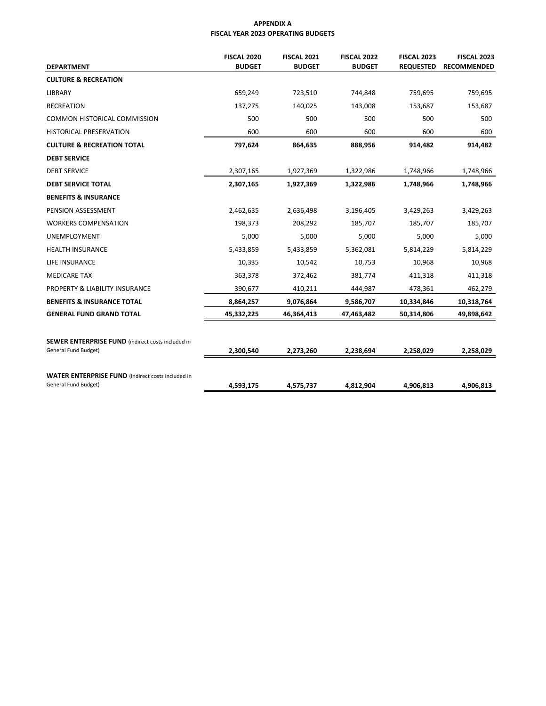### **APPENDIX A FISCAL YEAR 2023 OPERATING BUDGETS**

| <b>FISCAL 2020</b> | <b>FISCAL 2021</b>         | <b>FISCAL 2022</b>         | <b>FISCAL 2023</b>         | <b>FISCAL 2023</b>            |  |  |
|--------------------|----------------------------|----------------------------|----------------------------|-------------------------------|--|--|
|                    |                            |                            | <b>RECOMMENDED</b>         |                               |  |  |
|                    |                            |                            |                            |                               |  |  |
| 659,249            | 723,510                    | 744,848                    | 759,695                    | 759,695                       |  |  |
| 137,275            | 140,025                    | 143,008                    | 153,687                    | 153,687                       |  |  |
| 500                | 500                        | 500                        | 500                        | 500                           |  |  |
| 600                | 600                        | 600                        | 600                        | 600                           |  |  |
| 797,624            | 864,635                    | 888,956                    | 914,482                    | 914,482                       |  |  |
|                    |                            |                            |                            |                               |  |  |
| 2,307,165          | 1,927,369                  | 1,322,986                  | 1,748,966<br>1,748,966     |                               |  |  |
| 2,307,165          | 1,927,369                  | 1,322,986                  | 1,748,966<br>1,748,966     |                               |  |  |
|                    |                            |                            |                            |                               |  |  |
| 2,462,635          | 2,636,498                  | 3,196,405                  | 3,429,263                  | 3,429,263                     |  |  |
| 198,373            | 208,292                    | 185,707                    | 185,707                    | 185,707                       |  |  |
| 5,000              | 5,000                      | 5,000                      | 5,000                      | 5,000                         |  |  |
| 5,433,859          | 5,433,859<br>5,362,081     |                            | 5,814,229                  | 5,814,229                     |  |  |
| 10,335             | 10,542                     | 10,753                     | 10,968                     | 10,968                        |  |  |
| 363,378            | 372,462                    | 381,774                    | 411,318                    | 411,318                       |  |  |
| 390,677            | 410,211                    | 444,987                    | 478,361                    | 462,279                       |  |  |
| 8,864,257          | 9,076,864                  | 9,586,707                  | 10,334,846                 | 10,318,764                    |  |  |
| 45,332,225         | 46,364,413                 | 47,463,482                 | 50,314,806                 | 49,898,642                    |  |  |
|                    |                            |                            |                            |                               |  |  |
|                    |                            |                            |                            |                               |  |  |
| 2,300,540          | 2,273,260                  | 2,238,694                  | 2,258,029                  | 2,258,029                     |  |  |
|                    |                            |                            |                            |                               |  |  |
|                    |                            |                            |                            | 4,906,813                     |  |  |
|                    | <b>BUDGET</b><br>4,593,175 | <b>BUDGET</b><br>4,575,737 | <b>BUDGET</b><br>4,812,904 | <b>REQUESTED</b><br>4,906,813 |  |  |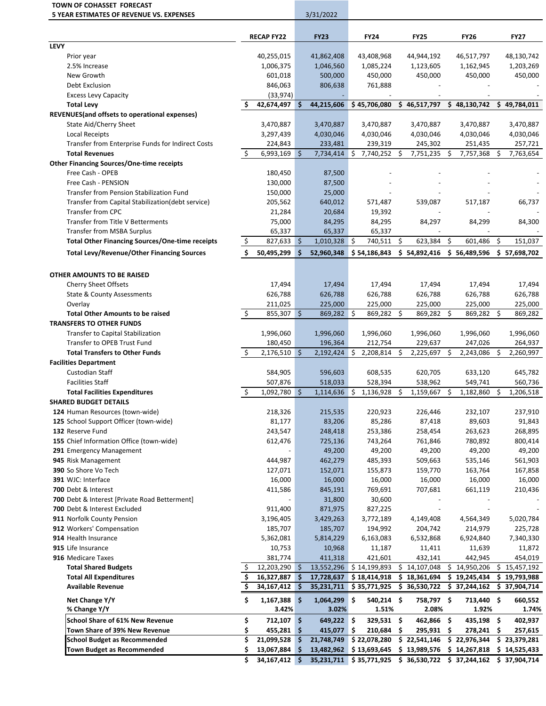|             | TOWN OF COHASSET FORECAST<br>5 YEAR ESTIMATES OF REVENUE VS. EXPENSES |                     |                          |            | 3/31/2022             |                                                                |     |                         |     |                       |     |                              |
|-------------|-----------------------------------------------------------------------|---------------------|--------------------------|------------|-----------------------|----------------------------------------------------------------|-----|-------------------------|-----|-----------------------|-----|------------------------------|
|             |                                                                       |                     | <b>RECAP FY22</b>        |            | <b>FY23</b>           | <b>FY24</b>                                                    |     | <b>FY25</b>             |     | <b>FY26</b>           |     | <b>FY27</b>                  |
| <b>LEVY</b> |                                                                       |                     |                          |            |                       |                                                                |     |                         |     |                       |     |                              |
|             | Prior year                                                            |                     | 40,255,015               |            | 41,862,408            | 43,408,968                                                     |     | 44,944,192              |     | 46,517,797            |     | 48,130,742                   |
|             | 2.5% Increase                                                         |                     | 1,006,375                |            | 1,046,560             | 1,085,224                                                      |     | 1,123,605               |     | 1,162,945             |     | 1,203,269                    |
|             | New Growth                                                            |                     | 601,018                  |            | 500,000               | 450,000                                                        |     | 450,000                 |     | 450,000               |     | 450,000                      |
|             | Debt Exclusion                                                        |                     | 846,063                  |            | 806,638               | 761,888                                                        |     |                         |     |                       |     |                              |
|             | <b>Excess Levy Capacity</b>                                           |                     | (33, 974)                |            |                       |                                                                |     |                         |     |                       |     |                              |
|             | <b>Total Levy</b>                                                     |                     | 42,674,497 \$            |            | 44,215,606            | \$45,706,080                                                   |     | \$46,517,797            |     | \$48,130,742          |     | \$49,784,011                 |
|             | REVENUES (and offsets to operational expenses)                        |                     |                          |            |                       |                                                                |     |                         |     |                       |     |                              |
|             | State Aid/Cherry Sheet                                                |                     | 3,470,887                |            | 3,470,887             | 3,470,887                                                      |     | 3,470,887               |     | 3,470,887             |     | 3,470,887                    |
|             | <b>Local Receipts</b>                                                 |                     | 3,297,439                |            | 4,030,046             | 4,030,046                                                      |     | 4,030,046               |     | 4,030,046             |     | 4,030,046                    |
|             | Transfer from Enterprise Funds for Indirect Costs                     |                     | 224,843                  |            | 233,481               | 239,319                                                        |     | 245,302                 |     | 251,435               |     | 257,721                      |
|             | <b>Total Revenues</b>                                                 | \$                  | 6,993,169                | Ŝ.         | 7,734,414             | 7,740,252<br>S.                                                | Ŝ.  | 7,751,235 \$            |     | 7,757,368             | Ŝ.  | 7,763,654                    |
|             | <b>Other Financing Sources/One-time receipts</b>                      |                     |                          |            |                       |                                                                |     |                         |     |                       |     |                              |
|             | Free Cash - OPEB                                                      |                     | 180,450                  |            | 87,500                |                                                                |     |                         |     |                       |     |                              |
|             | Free Cash - PENSION                                                   |                     | 130,000                  |            | 87,500                |                                                                |     |                         |     |                       |     |                              |
|             | Transfer from Pension Stabilization Fund                              |                     | 150,000                  |            | 25,000                |                                                                |     |                         |     |                       |     |                              |
|             | Transfer from Capital Stabilization(debt service)                     |                     | 205,562                  |            | 640,012               | 571,487                                                        |     | 539,087                 |     | 517,187               |     | 66,737                       |
|             | <b>Transfer from CPC</b>                                              |                     | 21,284                   |            | 20,684                | 19,392                                                         |     |                         |     |                       |     |                              |
|             | Transfer from Title V Betterments                                     |                     | 75,000                   |            | 84,295                | 84,295                                                         |     | 84,297                  |     | 84,299                |     | 84,300                       |
|             | <b>Transfer from MSBA Surplus</b>                                     |                     | 65,337                   |            | 65,337                | 65,337                                                         |     |                         |     |                       |     |                              |
|             | <b>Total Other Financing Sources/One-time receipts</b>                | $\ddot{\mathsf{S}}$ | $827,633$ \$             |            | 1,010,328             | \$<br>740,511                                                  | \$  | 623,384                 | \$  | 601,486               | \$  | 151,037                      |
|             | <b>Total Levy/Revenue/Other Financing Sources</b>                     | \$.                 | 50,495,299 \$            |            | 52,960,348            | \$54,186,843                                                   |     | \$54,892,416            |     | \$56,489,596          |     | \$ 57,698,702                |
|             | OTHER AMOUNTS TO BE RAISED                                            |                     |                          |            |                       |                                                                |     |                         |     |                       |     |                              |
|             | Cherry Sheet Offsets                                                  |                     | 17,494                   |            | 17,494                | 17,494                                                         |     | 17,494                  |     | 17,494                |     | 17,494                       |
|             | <b>State &amp; County Assessments</b>                                 |                     | 626,788                  |            | 626,788               | 626,788                                                        |     | 626,788                 |     | 626,788               |     | 626,788                      |
|             | Overlay                                                               |                     | 211,025                  |            | 225,000               | 225,000                                                        |     | 225,000                 |     | 225,000               |     | 225,000                      |
|             | <b>Total Other Amounts to be raised</b>                               | \$                  | $855,307$ \$             |            | $869,282$ \$          | 869,282 \$                                                     |     | 869,282 \$              |     | 869,282               | -\$ | 869,282                      |
|             | <b>TRANSFERS TO OTHER FUNDS</b>                                       |                     |                          |            |                       |                                                                |     |                         |     |                       |     |                              |
|             | Transfer to Capital Stabilization                                     |                     | 1,996,060                |            | 1,996,060             | 1,996,060                                                      |     | 1,996,060               |     | 1,996,060             |     | 1,996,060                    |
|             | Transfer to OPEB Trust Fund                                           |                     | 180,450                  |            | 196,364               | 212,754                                                        |     | 229,637                 |     | 247,026               |     | 264,937                      |
|             | <b>Total Transfers to Other Funds</b>                                 | \$                  | $2,176,510$ \$           |            | $2,192,424$ \$        | 2,208,814                                                      | \$  | 2,225,697               | \$. | 2,243,086             | Ŝ.  | 2,260,997                    |
|             | <b>Facilities Department</b>                                          |                     |                          |            |                       |                                                                |     |                         |     |                       |     |                              |
|             | <b>Custodian Staff</b>                                                |                     | 584,905                  |            | 596,603               | 608,535                                                        |     | 620,705                 |     | 633,120               |     | 645,782                      |
|             | <b>Facilities Staff</b>                                               |                     | 507,876                  |            | 518,033               | 528,394                                                        |     | 538,962                 |     | 549,741               |     | 560,736                      |
|             | <b>Total Facilities Expenditures</b>                                  | \$.                 | 1,092,780 \$             |            | 1,114,636             | 1,136,928<br>\$                                                | \$  | 1,159,667               | \$  | 1,182,860             | \$  | 1,206,518                    |
|             | <b>SHARED BUDGET DETAILS</b>                                          |                     |                          |            |                       |                                                                |     |                         |     |                       |     |                              |
|             | 124 Human Resources (town-wide)                                       |                     | 218,326                  |            | 215,535               | 220,923                                                        |     | 226,446                 |     | 232,107               |     | 237,910                      |
|             | 125 School Support Officer (town-wide)                                |                     | 81,177                   |            | 83,206                | 85,286                                                         |     | 87,418                  |     | 89,603                |     | 91,843                       |
|             | 132 Reserve Fund                                                      |                     | 243,547                  |            | 248,418               | 253,386                                                        |     | 258,454                 |     | 263,623               |     | 268,895                      |
|             | 155 Chief Information Office (town-wide)                              |                     | 612,476                  |            | 725,136               | 743,264                                                        |     | 761,846                 |     | 780,892               |     | 800,414                      |
|             | 291 Emergency Management                                              |                     |                          |            | 49,200                | 49,200                                                         |     | 49,200                  |     | 49,200                |     | 49,200                       |
|             | 945 Risk Management                                                   |                     | 444,987                  |            | 462,279               | 485,393                                                        |     | 509,663                 |     | 535,146               |     | 561,903                      |
|             | 390 So Shore Vo Tech                                                  |                     | 127,071                  |            | 152,071               | 155,873                                                        |     | 159,770                 |     | 163,764               |     | 167,858                      |
|             | 391 WJC: Interface                                                    |                     | 16,000                   |            | 16,000                | 16,000                                                         |     | 16,000                  |     |                       |     |                              |
|             | 700 Debt & Interest                                                   |                     | 411,586                  |            | 845,191               | 769,691                                                        |     | 707,681                 |     | 16,000<br>661,119     |     | 16,000<br>210,436            |
|             | 700 Debt & Interest [Private Road Betterment]                         |                     |                          |            | 31,800                | 30,600                                                         |     |                         |     |                       |     |                              |
|             | 700 Debt & Interest Excluded                                          |                     | 911,400                  |            | 871,975               | 827,225                                                        |     |                         |     |                       |     |                              |
|             | 911 Norfolk County Pension                                            |                     | 3,196,405                |            | 3,429,263             | 3,772,189                                                      |     | 4,149,408               |     | 4,564,349             |     | 5,020,784                    |
|             | 912 Workers' Compensation                                             |                     | 185,707                  |            | 185,707               | 194,992                                                        |     | 204,742                 |     | 214,979               |     | 225,728                      |
|             | 914 Health Insurance                                                  |                     |                          |            |                       |                                                                |     |                         |     |                       |     |                              |
|             | 915 Life Insurance                                                    |                     | 5,362,081<br>10,753      |            | 5,814,229<br>10,968   | 6,163,083<br>11,187                                            |     | 6,532,868               |     | 6,924,840             |     | 7,340,330                    |
|             |                                                                       |                     |                          |            |                       |                                                                |     | 11,411                  |     | 11,639                |     | 11,872                       |
|             | 916 Medicare Taxes<br><b>Total Shared Budgets</b>                     | \$                  | 381,774                  |            | 411,318<br>13,552,296 | 421,601                                                        |     | 432,141<br>\$14,107,048 | \$  | 442,945<br>14,950,206 |     | 454,019<br>\$15,457,192      |
|             | <b>Total All Expenditures</b>                                         | \$                  | 12,203,290<br>16,327,887 | - \$<br>\$ | 17,728,637            | \$14,199,893<br>\$18,414,918                                   |     | \$18,361,694            |     | \$19,245,434          |     |                              |
|             | <b>Available Revenue</b>                                              | \$                  | 34,167,412               | \$         | 35,231,711            | \$35,771,925                                                   | \$. | 36,530,722              |     | \$37,244,162          |     | \$19,793,988<br>\$37,904,714 |
|             |                                                                       |                     |                          |            |                       |                                                                |     |                         |     |                       |     |                              |
|             | Net Change Y/Y                                                        | \$                  | 1,167,388                | \$         | 1,064,299             | 540,214 \$<br>\$.                                              |     | 758,797 \$              |     | 713,440 \$            |     | 660,552                      |
|             | % Change Y/Y                                                          |                     | 3.42%                    |            | 3.02%                 | 1.51%                                                          |     | 2.08%                   |     | 1.92%                 |     | 1.74%                        |
|             | <b>School Share of 61% New Revenue</b>                                | \$                  | 712,107                  | \$         | 649,222 \$            | 329,531 \$                                                     |     | 462,866 \$              |     | 435,198 \$            |     | 402,937                      |
|             | Town Share of 39% New Revenue                                         | \$                  | 455,281                  | \$         | 415,077               | \$.<br>210,684                                                 | -\$ | 295,931 \$              |     | 278,241               | \$. | 257,615                      |
|             | <b>School Budget as Recommended</b>                                   | \$                  | 21,099,528               | \$         | 21,748,749            | \$22,078,280                                                   | \$. | 22,541,146              |     | \$22,976,344          |     | \$23,379,281                 |
|             | <b>Town Budget as Recommended</b>                                     | \$                  | 13,067,884               | \$         | 13,482,962            | \$13,693,645                                                   |     | \$13,989,576            |     | \$14,267,818          |     | \$14,525,433                 |
|             |                                                                       | \$                  | 34,167,412 \$            |            |                       | 35,231,711 \$35,771,925 \$36,530,722 \$37,244,162 \$37,904,714 |     |                         |     |                       |     |                              |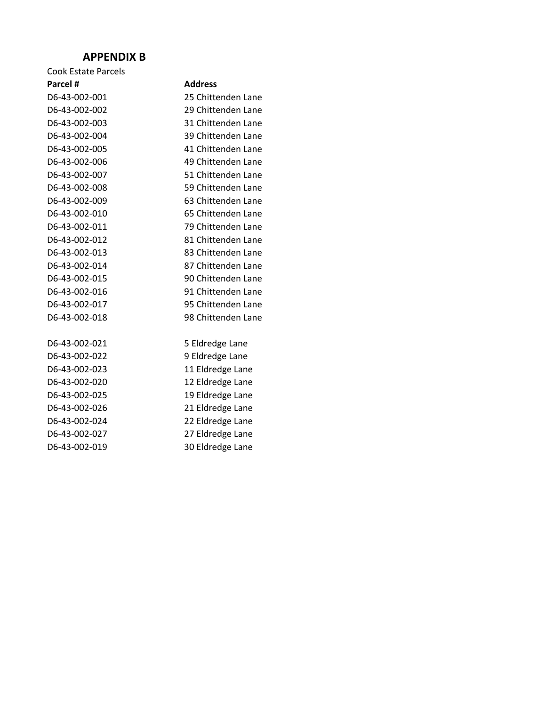### **APPENDIX B**

| <b>Cook Estate Parcels</b> |                    |
|----------------------------|--------------------|
| Parcel #                   | <b>Address</b>     |
| D6-43-002-001              | 25 Chittenden Lane |
| D6-43-002-002              | 29 Chittenden Lane |
| D6-43-002-003              | 31 Chittenden Lane |
| D6-43-002-004              | 39 Chittenden Lane |
| D6-43-002-005              | 41 Chittenden Lane |
| D6-43-002-006              | 49 Chittenden Lane |
| D6-43-002-007              | 51 Chittenden Lane |
| D6-43-002-008              | 59 Chittenden Lane |
| D6-43-002-009              | 63 Chittenden Lane |
| D6-43-002-010              | 65 Chittenden Lane |
| D6-43-002-011              | 79 Chittenden Lane |
| D6-43-002-012              | 81 Chittenden Lane |
| D6-43-002-013              | 83 Chittenden Lane |
| D6-43-002-014              | 87 Chittenden Lane |
| D6-43-002-015              | 90 Chittenden Lane |
| D6-43-002-016              | 91 Chittenden Lane |
| D6-43-002-017              | 95 Chittenden Lane |
| D6-43-002-018              | 98 Chittenden Lane |
| D6-43-002-021              | 5 Eldredge Lane    |
| D6-43-002-022              | 9 Eldredge Lane    |
| D6-43-002-023              | 11 Eldredge Lane   |
| D6-43-002-020              | 12 Eldredge Lane   |
| D6-43-002-025              | 19 Eldredge Lane   |
| D6-43-002-026              | 21 Eldredge Lane   |
| D6-43-002-024              | 22 Eldredge Lane   |
| D6-43-002-027              | 27 Eldredge Lane   |
| D6-43-002-019              | 30 Eldredge Lane   |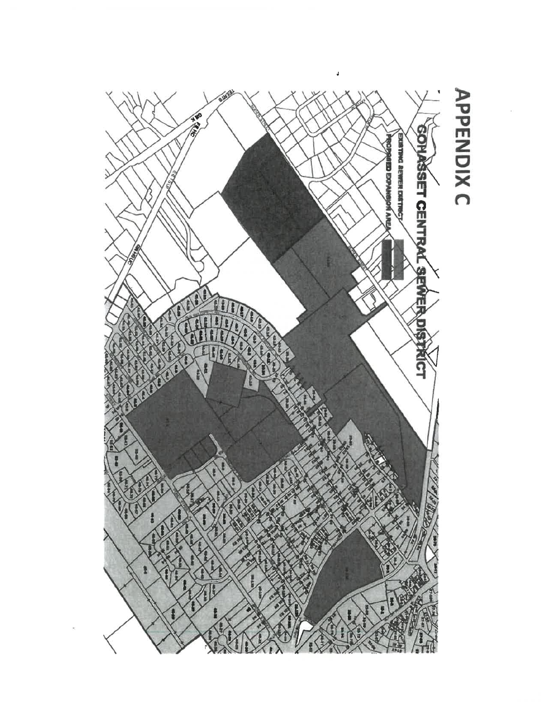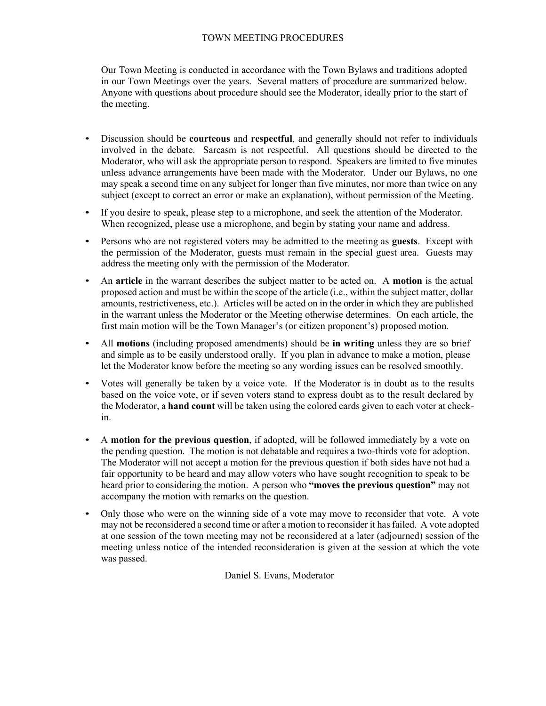### TOWN MEETING PROCEDURES

Our Town Meeting is conducted in accordance with the Town Bylaws and traditions adopted in our Town Meetings over the years. Several matters of procedure are summarized below. Anyone with questions about procedure should see the Moderator, ideally prior to the start of the meeting.

- Discussion should be **courteous** and **respectful**, and generally should not refer to individuals involved in the debate. Sarcasm is not respectful. All questions should be directed to the Moderator, who will ask the appropriate person to respond. Speakers are limited to five minutes unless advance arrangements have been made with the Moderator. Under our Bylaws, no one may speak a second time on any subject for longer than five minutes, nor more than twice on any subject (except to correct an error or make an explanation), without permission of the Meeting.
- If you desire to speak, please step to a microphone, and seek the attention of the Moderator. When recognized, please use a microphone, and begin by stating your name and address.
- Persons who are not registered voters may be admitted to the meeting as **guests**. Except with the permission of the Moderator, guests must remain in the special guest area. Guests may address the meeting only with the permission of the Moderator.
- An **article** in the warrant describes the subject matter to be acted on. A **motion** is the actual proposed action and must be within the scope of the article (i.e., within the subject matter, dollar amounts, restrictiveness, etc.). Articles will be acted on in the order in which they are published in the warrant unless the Moderator or the Meeting otherwise determines. On each article, the first main motion will be the Town Manager's (or citizen proponent's) proposed motion.
- All **motions** (including proposed amendments) should be **in writing** unless they are so brief and simple as to be easily understood orally. If you plan in advance to make a motion, please let the Moderator know before the meeting so any wording issues can be resolved smoothly.
- Votes will generally be taken by a voice vote. If the Moderator is in doubt as to the results based on the voice vote, or if seven voters stand to express doubt as to the result declared by the Moderator, a **hand count** will be taken using the colored cards given to each voter at checkin.
- A **motion for the previous question**, if adopted, will be followed immediately by a vote on the pending question. The motion is not debatable and requires a two-thirds vote for adoption. The Moderator will not accept a motion for the previous question if both sides have not had a fair opportunity to be heard and may allow voters who have sought recognition to speak to be heard prior to considering the motion. A person who **"moves the previous question"** may not accompany the motion with remarks on the question.
- Only those who were on the winning side of a vote may move to reconsider that vote. A vote may not be reconsidered a second time or after a motion to reconsider it has failed. A vote adopted at one session of the town meeting may not be reconsidered at a later (adjourned) session of the meeting unless notice of the intended reconsideration is given at the session at which the vote was passed.

Daniel S. Evans, Moderator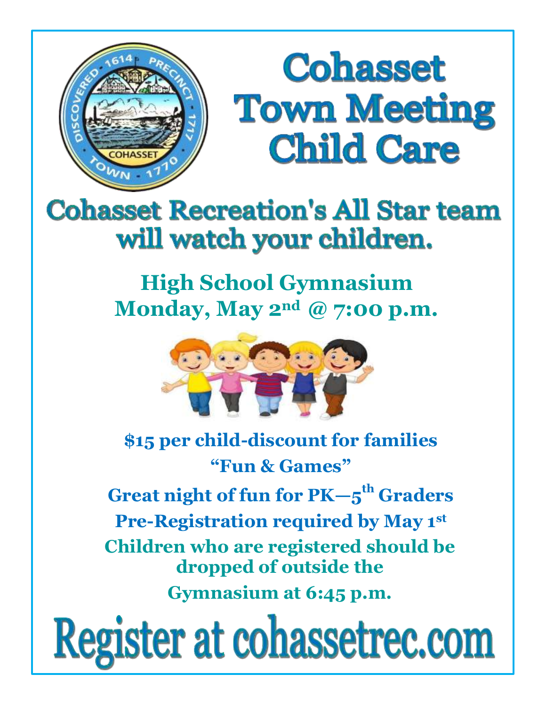

# **Cohasset Town Meeting Child Care**

# **Cohasset Recreation's All Star team** will watch your children.

## **High School Gymnasium Monday, May 2nd @ 7:00 p.m.**



## **\$15 per child-discount for families "Fun & Games"**

**Great night of fun for PK—5 th Graders Pre-Registration required by May 1 st Children who are registered should be dropped of outside the Gymnasium at 6:45 p.m.**

Register at cohassetrec.com